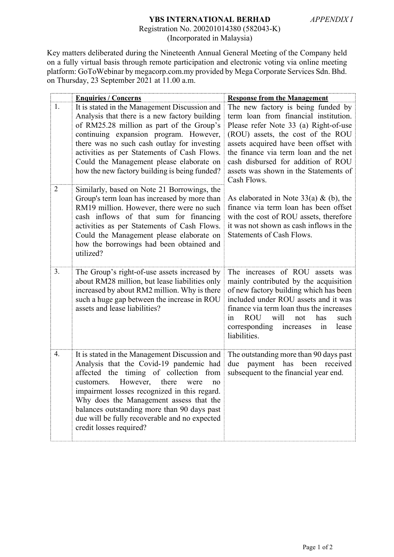## YBS INTERNATIONAL BERHAD

### Registration No. 200201014380 (582043-K) (Incorporated in Malaysia)

Key matters deliberated during the Nineteenth Annual General Meeting of the Company held on a fully virtual basis through remote participation and electronic voting via online meeting platform: GoToWebinar by megacorp.com.my provided by Mega Corporate Services Sdn. Bhd. on Thursday, 23 September 2021 at 11.00 a.m.

|                | <b>Enquiries / Concerns</b>                                                                                                                                                                                                                                                                                                                                                                            | <b>Response from the Management</b>                                                                                                                                                                                                                                                                                                                                                                                                                                                                                                              |
|----------------|--------------------------------------------------------------------------------------------------------------------------------------------------------------------------------------------------------------------------------------------------------------------------------------------------------------------------------------------------------------------------------------------------------|--------------------------------------------------------------------------------------------------------------------------------------------------------------------------------------------------------------------------------------------------------------------------------------------------------------------------------------------------------------------------------------------------------------------------------------------------------------------------------------------------------------------------------------------------|
| 1.             | It is stated in the Management Discussion and<br>Analysis that there is a new factory building<br>of RM25.28 million as part of the Group's<br>continuing expansion program. However,<br>there was no such cash outlay for investing<br>activities as per Statements of Cash Flows.<br>Could the Management please elaborate on<br>how the new factory building is being funded?                       | The new factory is being funded by<br>term loan from financial institution.<br>Please refer Note 33 (a) Right-of-use<br>(ROU) assets, the cost of the ROU<br>assets acquired have been offset with<br>the finance via term loan and the net<br>cash disbursed for addition of ROU<br>assets was shown in the Statements of<br>Cash Flows.<br>As elaborated in Note $33(a)$ & (b), the<br>finance via term loan has been offset<br>with the cost of ROU assets, therefore<br>it was not shown as cash inflows in the<br>Statements of Cash Flows. |
| $\overline{2}$ | Similarly, based on Note 21 Borrowings, the<br>Group's term loan has increased by more than<br>RM19 million. However, there were no such<br>cash inflows of that sum for financing<br>activities as per Statements of Cash Flows.<br>Could the Management please elaborate on<br>how the borrowings had been obtained and<br>utilized?                                                                 |                                                                                                                                                                                                                                                                                                                                                                                                                                                                                                                                                  |
| 3.             | The Group's right-of-use assets increased by<br>about RM28 million, but lease liabilities only<br>increased by about RM2 million. Why is there<br>such a huge gap between the increase in ROU<br>assets and lease liabilities?                                                                                                                                                                         | The increases of ROU assets was<br>mainly contributed by the acquisition<br>of new factory building which has been<br>included under ROU assets and it was<br>finance via term loan thus the increases<br>will<br><b>ROU</b><br>has<br>such<br>in<br>not<br>corresponding<br>increases<br>lease<br>in<br>liabilities.                                                                                                                                                                                                                            |
| 4.             | It is stated in the Management Discussion and<br>Analysis that the Covid-19 pandemic had<br>affected the timing of collection from<br>customers.<br>However, there<br>were<br>no<br>impairment losses recognized in this regard.<br>Why does the Management assess that the<br>balances outstanding more than 90 days past<br>due will be fully recoverable and no expected<br>credit losses required? | The outstanding more than 90 days past<br>payment has<br>been received<br>due<br>subsequent to the financial year end.                                                                                                                                                                                                                                                                                                                                                                                                                           |